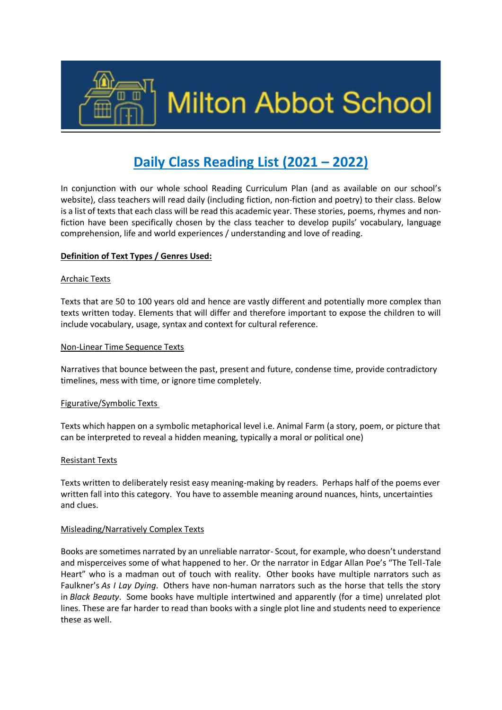

# **Daily Class Reading List (2021 – 2022)**

In conjunction with our whole school Reading Curriculum Plan (and as available on our school's website), class teachers will read daily (including fiction, non-fiction and poetry) to their class. Below is a list of texts that each class will be read this academic year. These stories, poems, rhymes and nonfiction have been specifically chosen by the class teacher to develop pupils' vocabulary, language comprehension, life and world experiences / understanding and love of reading.

#### **Definition of Text Types / Genres Used:**

#### Archaic Texts

Texts that are 50 to 100 years old and hence are vastly different and potentially more complex than texts written today. Elements that will differ and therefore important to expose the children to will include vocabulary, usage, syntax and context for cultural reference.

#### Non-Linear Time Sequence Texts

Narratives that bounce between the past, present and future, condense time, provide contradictory timelines, mess with time, or ignore time completely.

#### Figurative/Symbolic Texts

Texts which happen on a symbolic metaphorical level i.e. Animal Farm (a story, poem, or picture that can be interpreted to reveal a hidden meaning, typically a moral or political one)

#### Resistant Texts

Texts written to deliberately resist easy meaning-making by readers. Perhaps half of the poems ever written fall into this category. You have to assemble meaning around nuances, hints, uncertainties and clues.

#### Misleading/Narratively Complex Texts

Books are sometimes narrated by an unreliable narrator- Scout, for example, who doesn't understand and misperceives some of what happened to her. Or the narrator in Edgar Allan Poe's "The Tell-Tale Heart" who is a madman out of touch with reality. Other books have multiple narrators such as Faulkner's *As I Lay Dying*. Others have non-human narrators such as the horse that tells the story in *Black Beauty*. Some books have multiple intertwined and apparently (for a time) unrelated plot lines. These are far harder to read than books with a single plot line and students need to experience these as well.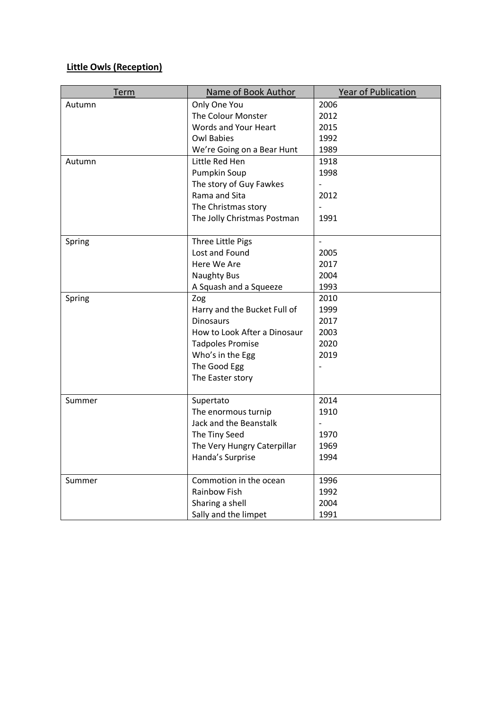# **Little Owls (Reception)**

| <b>Term</b> | Name of Book Author          | Year of Publication |
|-------------|------------------------------|---------------------|
| Autumn      | Only One You                 | 2006                |
|             | The Colour Monster           | 2012                |
|             | Words and Your Heart         | 2015                |
|             | <b>Owl Babies</b>            | 1992                |
|             | We're Going on a Bear Hunt   | 1989                |
| Autumn      | Little Red Hen               | 1918                |
|             | Pumpkin Soup                 | 1998                |
|             | The story of Guy Fawkes      |                     |
|             | Rama and Sita                | 2012                |
|             | The Christmas story          |                     |
|             | The Jolly Christmas Postman  | 1991                |
| Spring      | Three Little Pigs            | $\overline{a}$      |
|             | Lost and Found               | 2005                |
|             | Here We Are                  | 2017                |
|             | <b>Naughty Bus</b>           | 2004                |
|             | A Squash and a Squeeze       | 1993                |
| Spring      | Zog                          | 2010                |
|             | Harry and the Bucket Full of | 1999                |
|             | <b>Dinosaurs</b>             | 2017                |
|             | How to Look After a Dinosaur | 2003                |
|             | <b>Tadpoles Promise</b>      | 2020                |
|             | Who's in the Egg             | 2019                |
|             | The Good Egg                 |                     |
|             | The Easter story             |                     |
|             |                              |                     |
| Summer      | Supertato                    | 2014                |
|             | The enormous turnip          | 1910                |
|             | Jack and the Beanstalk       |                     |
|             | The Tiny Seed                | 1970                |
|             | The Very Hungry Caterpillar  | 1969                |
|             | Handa's Surprise             | 1994                |
| Summer      | Commotion in the ocean       | 1996                |
|             | <b>Rainbow Fish</b>          | 1992                |
|             | Sharing a shell              | 2004                |
|             | Sally and the limpet         | 1991                |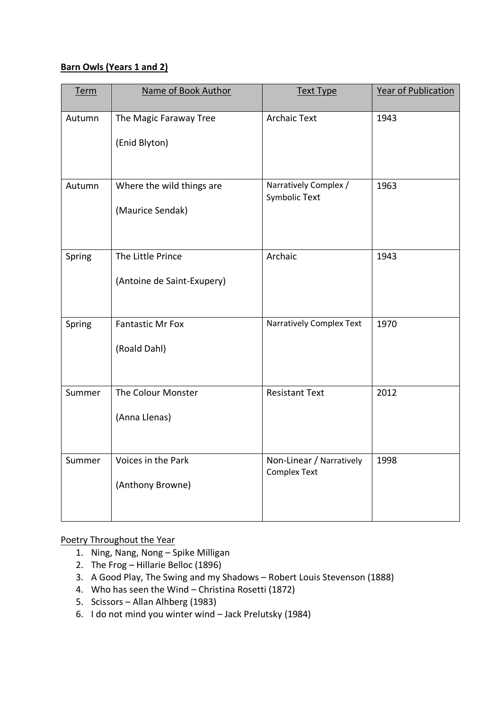### **Barn Owls (Years 1 and 2)**

| Term   | Name of Book Author                             | <b>Text Type</b>                                | Year of Publication |
|--------|-------------------------------------------------|-------------------------------------------------|---------------------|
| Autumn | The Magic Faraway Tree<br>(Enid Blyton)         | <b>Archaic Text</b>                             | 1943                |
| Autumn | Where the wild things are<br>(Maurice Sendak)   | Narratively Complex /<br><b>Symbolic Text</b>   | 1963                |
| Spring | The Little Prince<br>(Antoine de Saint-Exupery) | Archaic                                         | 1943                |
| Spring | <b>Fantastic Mr Fox</b><br>(Roald Dahl)         | Narratively Complex Text                        | 1970                |
| Summer | The Colour Monster<br>(Anna Llenas)             | <b>Resistant Text</b>                           | 2012                |
| Summer | Voices in the Park<br>(Anthony Browne)          | Non-Linear / Narratively<br><b>Complex Text</b> | 1998                |

Poetry Throughout the Year

- 1. Ning, Nang, Nong Spike Milligan
- 2. The Frog Hillarie Belloc (1896)
- 3. A Good Play, The Swing and my Shadows Robert Louis Stevenson (1888)
- 4. Who has seen the Wind Christina Rosetti (1872)
- 5. Scissors Allan Alhberg (1983)
- 6. I do not mind you winter wind Jack Prelutsky (1984)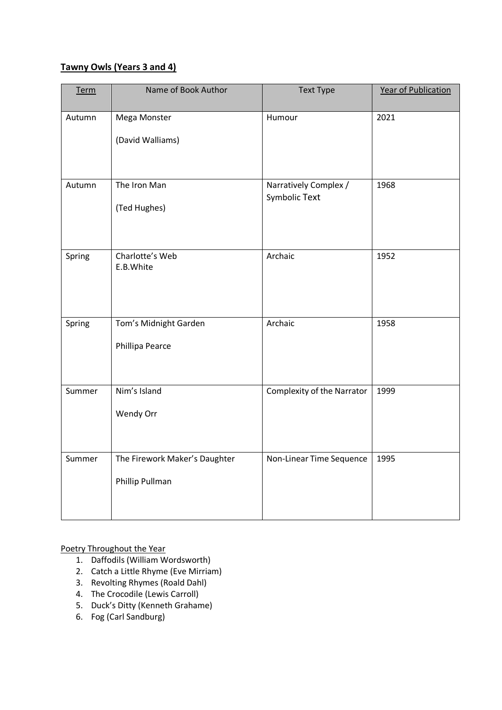## **Tawny Owls (Years 3 and 4)**

| <b>Term</b> | Name of Book Author                              | <b>Text Type</b>                       | <b>Year of Publication</b> |
|-------------|--------------------------------------------------|----------------------------------------|----------------------------|
| Autumn      | Mega Monster<br>(David Walliams)                 | Humour                                 | 2021                       |
| Autumn      | The Iron Man<br>(Ted Hughes)                     | Narratively Complex /<br>Symbolic Text | 1968                       |
| Spring      | Charlotte's Web<br>E.B.White                     | Archaic                                | 1952                       |
| Spring      | Tom's Midnight Garden<br>Phillipa Pearce         | Archaic                                | 1958                       |
| Summer      | Nim's Island<br>Wendy Orr                        | <b>Complexity of the Narrator</b>      | 1999                       |
| Summer      | The Firework Maker's Daughter<br>Phillip Pullman | Non-Linear Time Sequence               | 1995                       |

Poetry Throughout the Year

- 1. Daffodils (William Wordsworth)
- 2. Catch a Little Rhyme (Eve Mirriam)
- 3. Revolting Rhymes (Roald Dahl)
- 4. The Crocodile (Lewis Carroll)
- 5. Duck's Ditty (Kenneth Grahame)
- 6. Fog (Carl Sandburg)